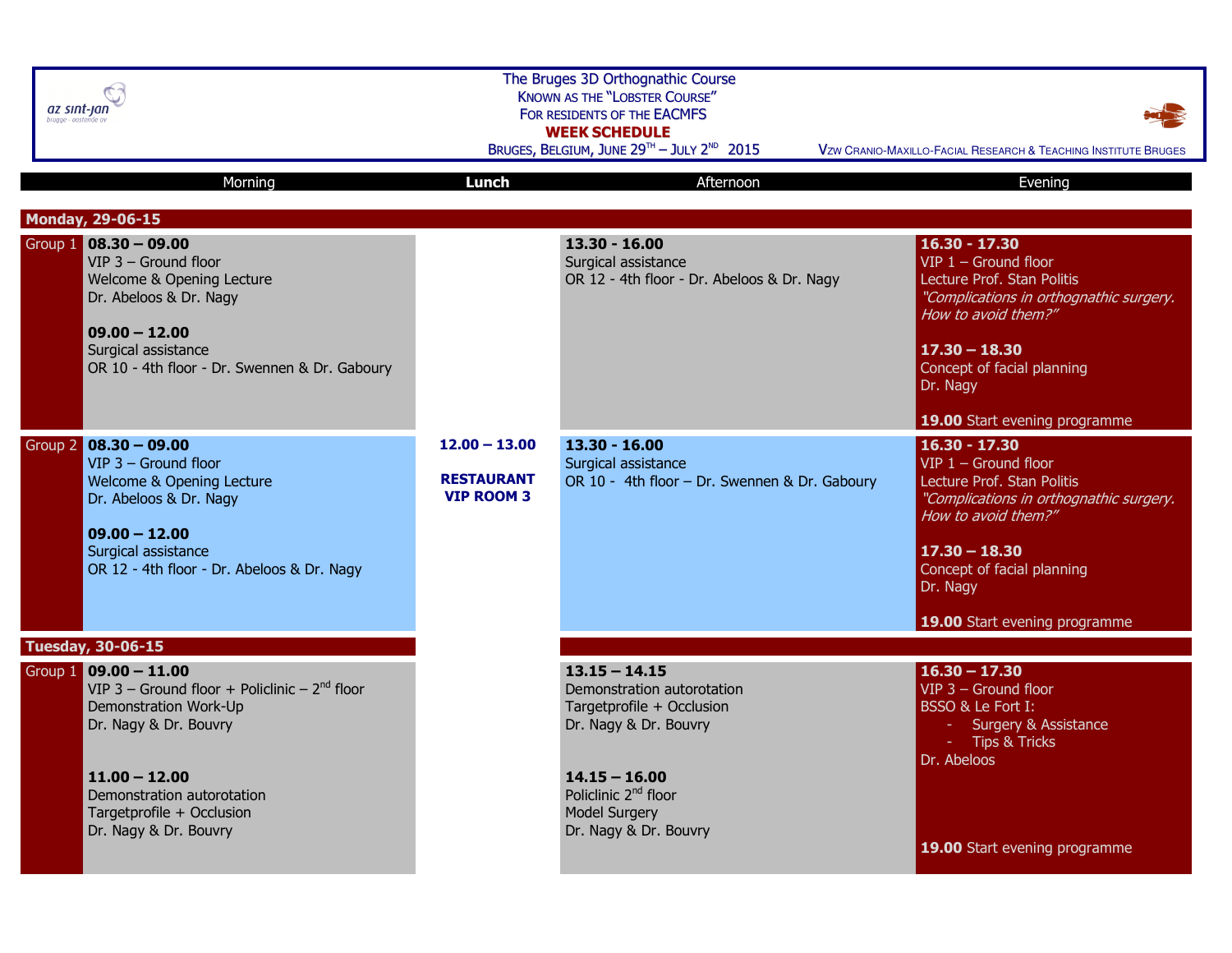| az sınt-jan<br>brugge - oostei                                                                                                                                                                                                    | The Bruges 3D Orthognathic Course<br><b>KNOWN AS THE "LOBSTER COURSE"</b><br>FOR RESIDENTS OF THE EACMFS<br><b>WEEK SCHEDULE</b><br>BRUGES, BELGIUM, JUNE 29TH - JULY 2ND 2015<br>VZW CRANIO-MAXILLO-FACIAL RESEARCH & TEACHING INSTITUTE BRUGES |                                                                                                                                                                                                             |                                                                                                                                                                                                                                         |  |
|-----------------------------------------------------------------------------------------------------------------------------------------------------------------------------------------------------------------------------------|--------------------------------------------------------------------------------------------------------------------------------------------------------------------------------------------------------------------------------------------------|-------------------------------------------------------------------------------------------------------------------------------------------------------------------------------------------------------------|-----------------------------------------------------------------------------------------------------------------------------------------------------------------------------------------------------------------------------------------|--|
| Morning                                                                                                                                                                                                                           | Lunch                                                                                                                                                                                                                                            | Afternoon                                                                                                                                                                                                   | Evening                                                                                                                                                                                                                                 |  |
| <b>Monday, 29-06-15</b>                                                                                                                                                                                                           |                                                                                                                                                                                                                                                  |                                                                                                                                                                                                             |                                                                                                                                                                                                                                         |  |
| Group $1 \ 08.30 - 09.00$<br>$VIP$ 3 – Ground floor<br>Welcome & Opening Lecture<br>Dr. Abeloos & Dr. Nagy<br>$09.00 - 12.00$<br>Surgical assistance<br>OR 10 - 4th floor - Dr. Swennen & Dr. Gaboury                             |                                                                                                                                                                                                                                                  | $13.30 - 16.00$<br>Surgical assistance<br>OR 12 - 4th floor - Dr. Abeloos & Dr. Nagy                                                                                                                        | $16.30 - 17.30$<br>VIP $1 -$ Ground floor<br>Lecture Prof. Stan Politis<br>"Complications in orthognathic surgery.<br>How to avoid them?"<br>$17.30 - 18.30$<br>Concept of facial planning<br>Dr. Nagy                                  |  |
|                                                                                                                                                                                                                                   |                                                                                                                                                                                                                                                  |                                                                                                                                                                                                             | 19.00 Start evening programme                                                                                                                                                                                                           |  |
| Group 2 08.30 - 09.00<br>$VIP$ 3 - Ground floor<br>Welcome & Opening Lecture<br>Dr. Abeloos & Dr. Nagy<br>$09.00 - 12.00$<br>Surgical assistance<br>OR 12 - 4th floor - Dr. Abeloos & Dr. Nagy                                    | $12.00 - 13.00$<br><b>RESTAURANT</b><br><b>VIP ROOM 3</b>                                                                                                                                                                                        | $13.30 - 16.00$<br>Surgical assistance<br>OR 10 - 4th floor - Dr. Swennen & Dr. Gaboury                                                                                                                     | $16.30 - 17.30$<br>$VIP$ 1 – Ground floor<br>Lecture Prof. Stan Politis<br>"Complications in orthognathic surgery.<br>How to avoid them?"<br>$17.30 - 18.30$<br>Concept of facial planning<br>Dr. Nagy<br>19.00 Start evening programme |  |
| <b>Tuesday, 30-06-15</b>                                                                                                                                                                                                          |                                                                                                                                                                                                                                                  |                                                                                                                                                                                                             |                                                                                                                                                                                                                                         |  |
| Group 1 09.00 - 11.00<br>VIP 3 - Ground floor + Policlinic - $2nd$ floor<br>Demonstration Work-Up<br>Dr. Nagy & Dr. Bouvry<br>$11.00 - 12.00$<br>Demonstration autorotation<br>Targetprofile + Occlusion<br>Dr. Nagy & Dr. Bouvry |                                                                                                                                                                                                                                                  | $13.15 - 14.15$<br>Demonstration autorotation<br>Targetprofile + Occlusion<br>Dr. Nagy & Dr. Bouvry<br>$14.15 - 16.00$<br>Policlinic 2 <sup>nd</sup> floor<br><b>Model Surgery</b><br>Dr. Nagy & Dr. Bouvry | $16.30 - 17.30$<br>$VIP$ 3 – Ground floor<br>BSSO & Le Fort I:<br><b>Surgery &amp; Assistance</b><br><b>Tips &amp; Tricks</b><br>Dr. Abeloos<br>19.00 Start evening programme                                                           |  |